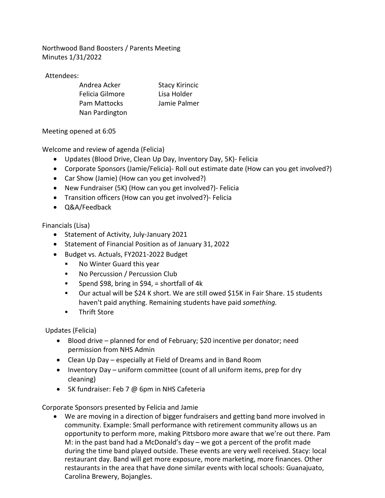Northwood Band Boosters / Parents Meeting Minutes 1/31/2022

Attendees:

| Andrea Acker    | <b>Stacy Kirincic</b> |
|-----------------|-----------------------|
| Felicia Gilmore | Lisa Holder           |
| Pam Mattocks    | Jamie Palmer          |
| Nan Pardington  |                       |

Meeting opened at 6:05

Welcome and review of agenda (Felicia)

- Updates (Blood Drive, Clean Up Day, Inventory Day, 5K)- Felicia
- Corporate Sponsors (Jamie/Felicia)- Roll out estimate date (How can you get involved?)
- Car Show (Jamie) (How can you get involved?)
- New Fundraiser (5K) (How can you get involved?)- Felicia
- Transition officers (How can you get involved?)- Felicia
- Q&A/Feedback

Financials (Lisa)

- Statement of Activity, July-January 2021
- Statement of Financial Position as of January 31, 2022
- Budget vs. Actuals, FY2021-2022 Budget
	- **No Winter Guard this year**
	- No Percussion / Percussion Club
	- Spend \$98, bring in \$94, = shortfall of 4k
	- Our actual will be \$24 K short. We are still owed \$15K in Fair Share. 15 students haven't paid anything. Remaining students have paid *something.*
	- **Thrift Store**

Updates (Felicia)

- Blood drive planned for end of February; \$20 incentive per donator; need permission from NHS Admin
- Clean Up Day especially at Field of Dreams and in Band Room
- Inventory Day uniform committee (count of all uniform items, prep for dry cleaning)
- 5K fundraiser: Feb 7 @ 6pm in NHS Cafeteria

Corporate Sponsors presented by Felicia and Jamie

• We are moving in a direction of bigger fundraisers and getting band more involved in community. Example: Small performance with retirement community allows us an opportunity to perform more, making Pittsboro more aware that we're out there. Pam M: in the past band had a McDonald's day – we got a percent of the profit made during the time band played outside. These events are very well received. Stacy: local restaurant day. Band will get more exposure, more marketing, more finances. Other restaurants in the area that have done similar events with local schools: Guanajuato, Carolina Brewery, Bojangles.